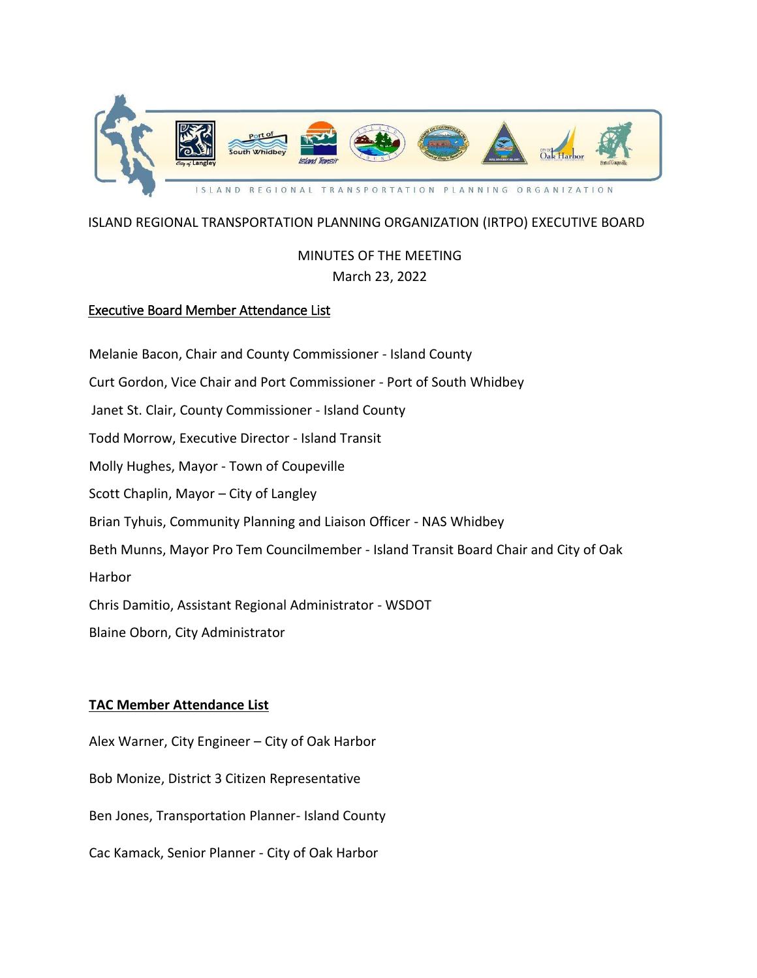

## ISLAND REGIONAL TRANSPORTATION PLANNING ORGANIZATION (IRTPO) EXECUTIVE BOARD

# MINUTES OF THE MEETING March 23, 2022

## Executive Board Member Attendance List

Melanie Bacon, Chair and County Commissioner - Island County Curt Gordon, Vice Chair and Port Commissioner - Port of South Whidbey Janet St. Clair, County Commissioner - Island County Todd Morrow, Executive Director - Island Transit Molly Hughes, Mayor - Town of Coupeville Scott Chaplin, Mayor – City of Langley Brian Tyhuis, Community Planning and Liaison Officer - NAS Whidbey Beth Munns, Mayor Pro Tem Councilmember - Island Transit Board Chair and City of Oak Harbor Chris Damitio, Assistant Regional Administrator - WSDOT Blaine Oborn, City Administrator

## **TAC Member Attendance List**

Alex Warner, City Engineer – City of Oak Harbor

Bob Monize, District 3 Citizen Representative

Ben Jones, Transportation Planner- Island County

Cac Kamack, Senior Planner - City of Oak Harbor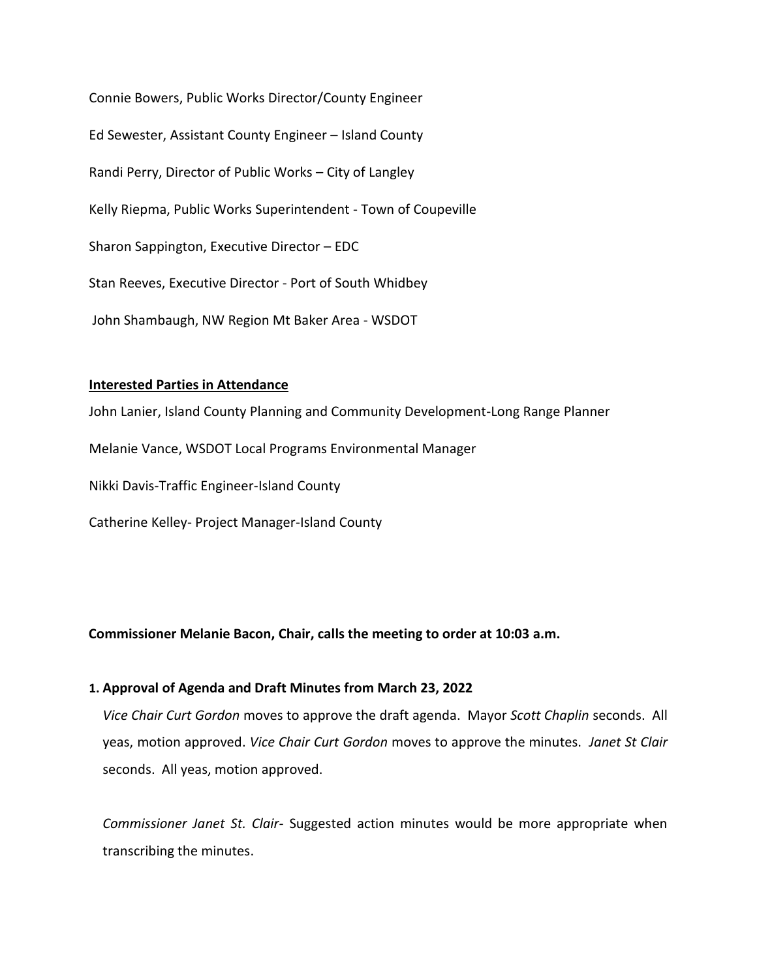Connie Bowers, Public Works Director/County Engineer Ed Sewester, Assistant County Engineer – Island County Randi Perry, Director of Public Works – City of Langley Kelly Riepma, Public Works Superintendent - Town of Coupeville Sharon Sappington, Executive Director – EDC Stan Reeves, Executive Director - Port of South Whidbey John Shambaugh, NW Region Mt Baker Area - WSDOT

### **Interested Parties in Attendance**

John Lanier, Island County Planning and Community Development-Long Range Planner Melanie Vance, WSDOT Local Programs Environmental Manager Nikki Davis-Traffic Engineer-Island County Catherine Kelley- Project Manager-Island County

**Commissioner Melanie Bacon, Chair, calls the meeting to order at 10:03 a.m.** 

### **1. Approval of Agenda and Draft Minutes from March 23, 2022**

*Vice Chair Curt Gordon* moves to approve the draft agenda. Mayor *Scott Chaplin* seconds. All yeas, motion approved. *Vice Chair Curt Gordon* moves to approve the minutes. *Janet St Clair* seconds. All yeas, motion approved.

*Commissioner Janet St. Clair-* Suggested action minutes would be more appropriate when transcribing the minutes.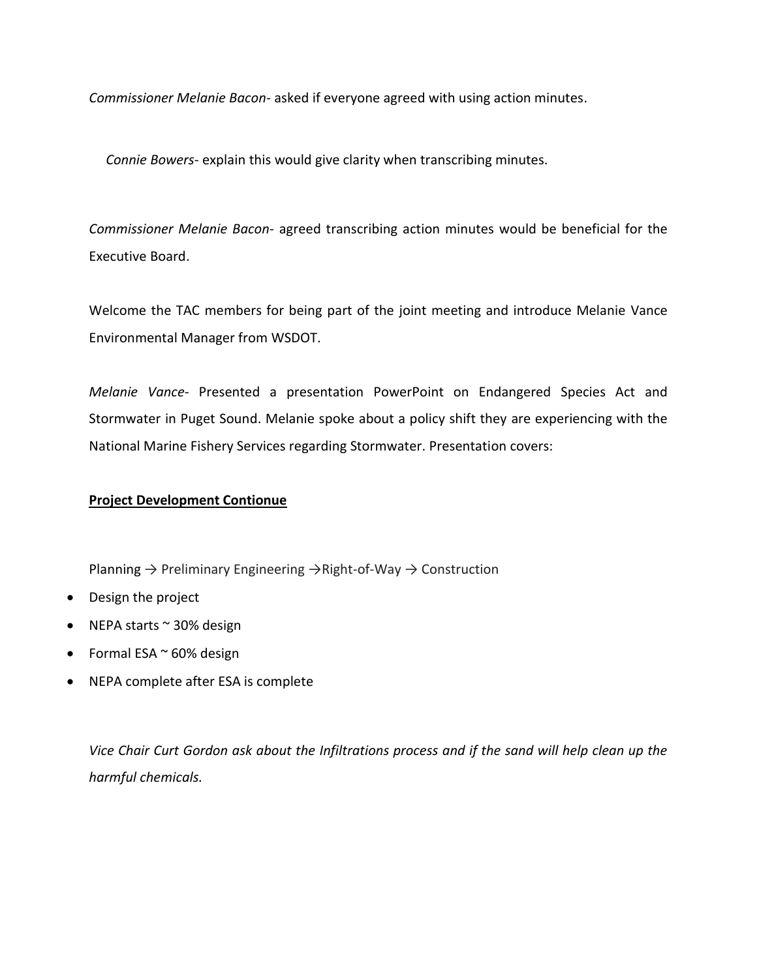*Commissioner Melanie Bacon-* asked if everyone agreed with using action minutes.

 *Connie Bowers*- explain this would give clarity when transcribing minutes.

*Commissioner Melanie Bacon*- agreed transcribing action minutes would be beneficial for the Executive Board.

Welcome the TAC members for being part of the joint meeting and introduce Melanie Vance Environmental Manager from WSDOT.

*Melanie Vance*- Presented a presentation PowerPoint on Endangered Species Act and Stormwater in Puget Sound. Melanie spoke about a policy shift they are experiencing with the National Marine Fishery Services regarding Stormwater. Presentation covers:

### **Project Development Contionue**

Planning → Preliminary Engineering →Right-of-Way → Construction

- Design the project
- $\bullet$  NEPA starts  $\sim$  30% design
- Formal ESA  $\sim$  60% design
- NEPA complete after ESA is complete

*Vice Chair Curt Gordon ask about the Infiltrations process and if the sand will help clean up the harmful chemicals.*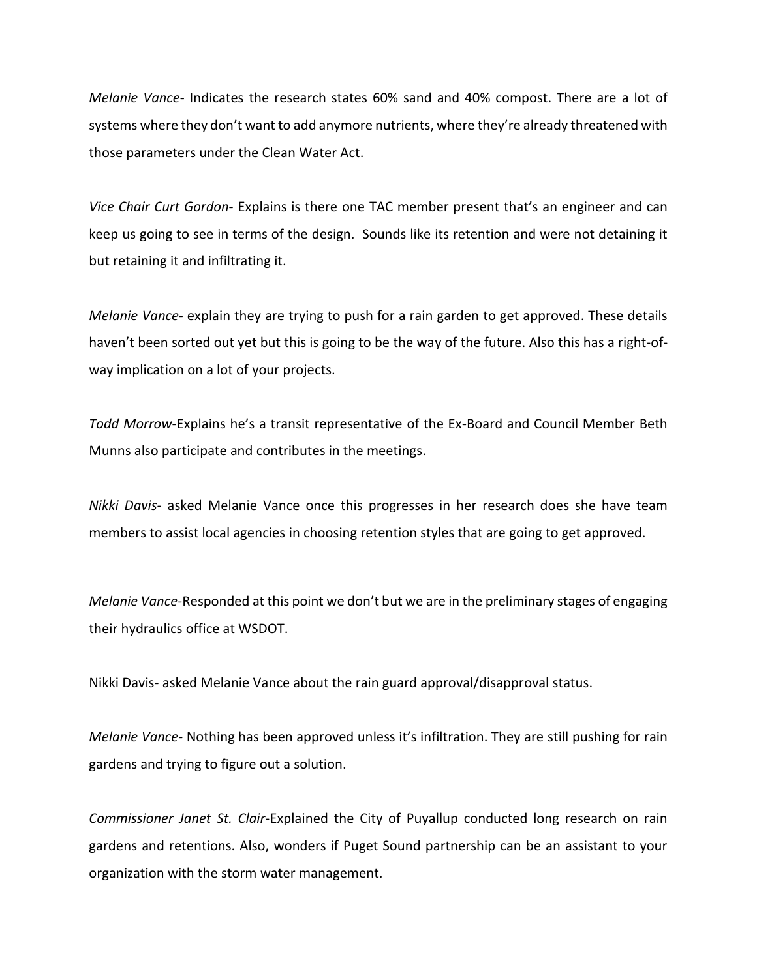*Melanie Vance*- Indicates the research states 60% sand and 40% compost. There are a lot of systems where they don't want to add anymore nutrients, where they're already threatened with those parameters under the Clean Water Act.

*Vice Chair Curt Gordon-* Explains is there one TAC member present that's an engineer and can keep us going to see in terms of the design. Sounds like its retention and were not detaining it but retaining it and infiltrating it.

*Melanie Vance*- explain they are trying to push for a rain garden to get approved. These details haven't been sorted out yet but this is going to be the way of the future. Also this has a right-ofway implication on a lot of your projects.

*Todd Morrow-*Explains he's a transit representative of the Ex-Board and Council Member Beth Munns also participate and contributes in the meetings.

*Nikki Davis-* asked Melanie Vance once this progresses in her research does she have team members to assist local agencies in choosing retention styles that are going to get approved.

*Melanie Vance*-Responded at this point we don't but we are in the preliminary stages of engaging their hydraulics office at WSDOT.

Nikki Davis- asked Melanie Vance about the rain guard approval/disapproval status.

*Melanie Vance*- Nothing has been approved unless it's infiltration. They are still pushing for rain gardens and trying to figure out a solution.

*Commissioner Janet St. Clair*-Explained the City of Puyallup conducted long research on rain gardens and retentions. Also, wonders if Puget Sound partnership can be an assistant to your organization with the storm water management.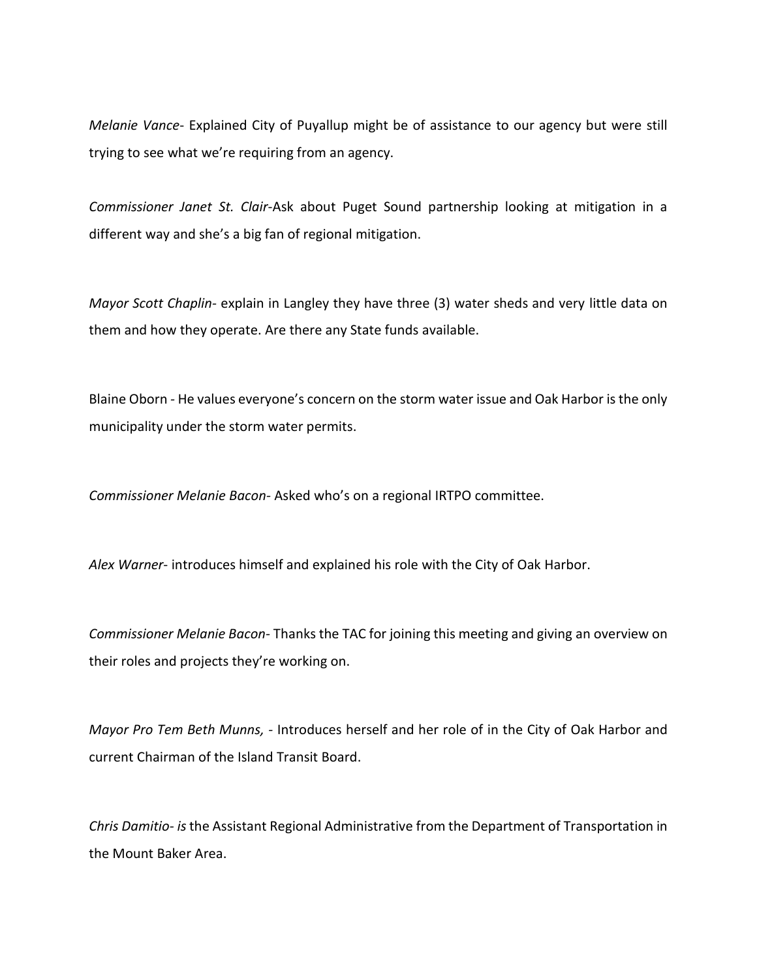*Melanie Vance*- Explained City of Puyallup might be of assistance to our agency but were still trying to see what we're requiring from an agency.

*Commissioner Janet St. Clair*-Ask about Puget Sound partnership looking at mitigation in a different way and she's a big fan of regional mitigation.

*Mayor Scott Chaplin-* explain in Langley they have three (3) water sheds and very little data on them and how they operate. Are there any State funds available.

Blaine Oborn *-* He values everyone's concern on the storm water issue and Oak Harbor is the only municipality under the storm water permits.

*Commissioner Melanie Bacon-* Asked who's on a regional IRTPO committee.

*Alex Warner*- introduces himself and explained his role with the City of Oak Harbor.

*Commissioner Melanie Bacon-* Thanks the TAC for joining this meeting and giving an overview on their roles and projects they're working on.

*Mayor Pro Tem Beth Munns, -* Introduces herself and her role of in the City of Oak Harbor and current Chairman of the Island Transit Board.

*Chris Damitio- is*the Assistant Regional Administrative from the Department of Transportation in the Mount Baker Area.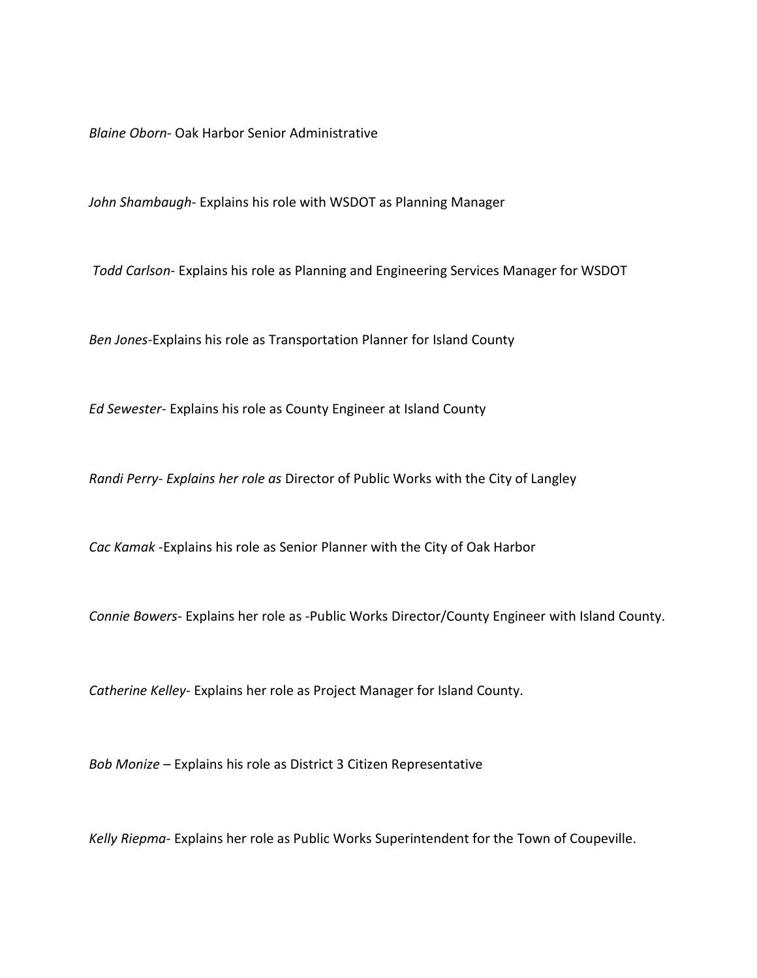*Blaine Oborn-* Oak Harbor Senior Administrative

*John Shambaugh-* Explains his role with WSDOT as Planning Manager

*Todd Carlson-* Explains his role as Planning and Engineering Services Manager for WSDOT

*Ben Jones-*Explains his role as Transportation Planner for Island County

*Ed Sewester-* Explains his role as County Engineer at Island County

*Randi Perry- Explains her role as* Director of Public Works with the City of Langley

*Cac Kamak* -Explains his role as Senior Planner with the City of Oak Harbor

*Connie Bowers-* Explains her role as -Public Works Director/County Engineer with Island County.

*Catherine Kelley*- Explains her role as Project Manager for Island County.

*Bob Monize* – Explains his role as District 3 Citizen Representative

*Kelly Riepma-* Explains her role as Public Works Superintendent for the Town of Coupeville.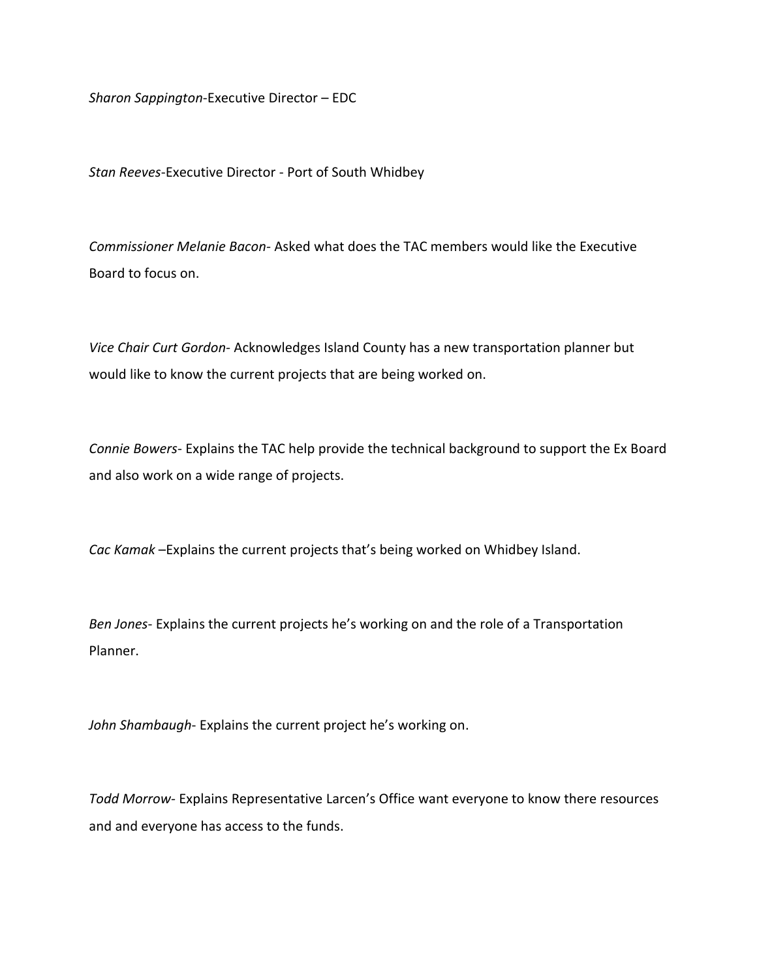*Sharon Sappington*-Executive Director – EDC

*Stan Reeves*-Executive Director - Port of South Whidbey

*Commissioner Melanie Bacon-* Asked what does the TAC members would like the Executive Board to focus on.

*Vice Chair Curt Gordon-* Acknowledges Island County has a new transportation planner but would like to know the current projects that are being worked on.

*Connie Bowers*- Explains the TAC help provide the technical background to support the Ex Board and also work on a wide range of projects.

*Cac Kamak* –Explains the current projects that's being worked on Whidbey Island.

*Ben Jones*- Explains the current projects he's working on and the role of a Transportation Planner.

*John Shambaugh*- Explains the current project he's working on.

*Todd Morrow*- Explains Representative Larcen's Office want everyone to know there resources and and everyone has access to the funds.